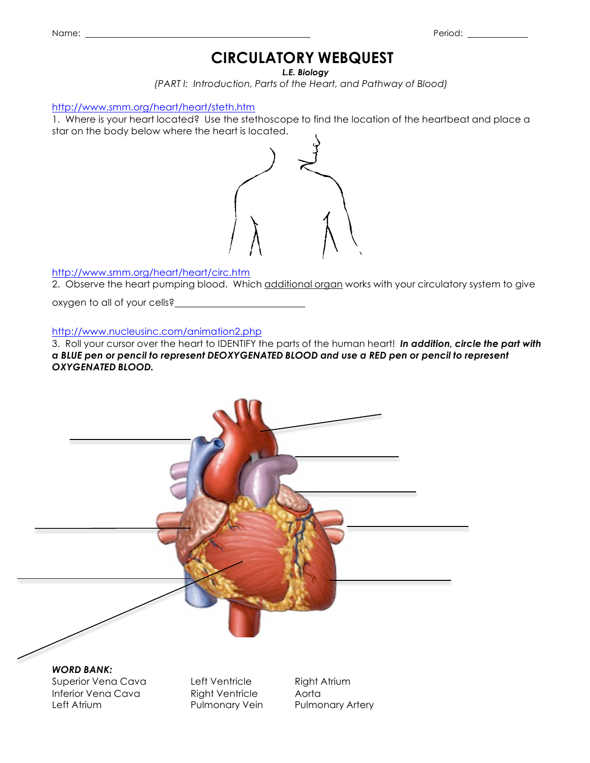# **CIRCULATORY WEBQUEST**

*L.E. Biology*

*(PART I: Introduction, Parts of the Heart, and Pathway of Blood)*

http://www.smm.org/heart/heart/steth.htm

1. Where is your heart located? Use the stethoscope to find the location of the heartbeat and place a star on the body below where the heart is located.



http://www.smm.org/heart/heart/circ.htm

2. Observe the heart pumping blood. Which additional organ works with your circulatory system to give

oxygen to all of your cells?

http://www.nucleusinc.com/animation2.php

3. Roll your cursor over the heart to IDENTIFY the parts of the human heart! *In addition, circle the part with a BLUE pen or pencil to represent DEOXYGENATED BLOOD and use a RED pen or pencil to represent OXYGENATED BLOOD.*



Superior Vena Cava Left Ventricle Right Atrium Inferior Vena Cava **Right Ventricle** Aorta Left Atrium **Pulmonary Vein** Pulmonary Artery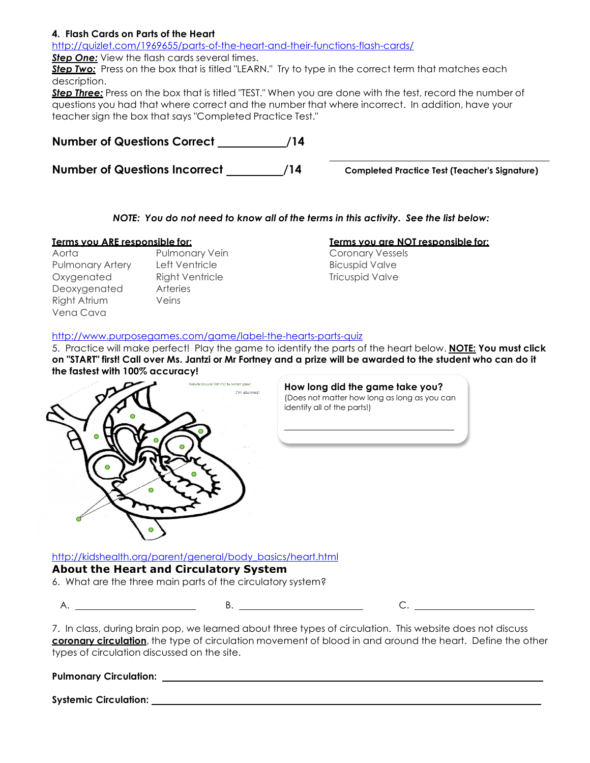# **4. Flash Cards on Parts of the Heart**

http://quizlet.com/1969655/parts-of-the-heart-and-their-functions-flash-cards/

**Step One:** View the flash cards several times.

**Step Two:** Press on the box that is titled "LEARN." Try to type in the correct term that matches each description.

*Step Three:* Press on the box that is titled "TEST." When you are done with the test, record the number of questions you had that where correct and the number that where incorrect. In addition, have your teacher sign the box that says "Completed Practice Test."

| <b>Number of Questions Correct</b>   | /14 |
|--------------------------------------|-----|
| <b>Number of Questions Incorrect</b> | /14 |

**Completed Practice Test (Teacher's Signature)** 

# *NOTE: You do not need to know all of the terms in this activity. See the list below:*

- Aorta **Pulmonary Vein** Coronary Vessels Pulmonary Artery Left Ventricle **Bicuspid Valve** Bicuspid Valve Oxygenated Right Ventricle Tricuspid Valve Deoxygenated Arteries Right Atrium Veins Vena Cava
	-

# **Terms you ARE responsible for: Terms you are NOT responsible for:**

# http://www.purposegames.com/game/label-the-hearts-parts-quiz

5. Practice will make perfect! Play the game to identify the parts of the heart below. **NOTE: You must click on "START" first! Call over Ms. Jantzi or Mr Fortney and a prize will be awarded to the student who can do it the fastest with 100% accuracy!**



http://kidshealth.org/parent/general/body\_basics/heart.html **About the Heart and Circulatory System**

6. What are the three main parts of the circulatory system?

A. B. C.

7. In class, during brain pop, we learned about three types of circulation. This website does not discuss **coronary circulation**, the type of circulation movement of blood in and around the heart. Define the other types of circulation discussed on the site.

| <b>Pulmonary Circulation:</b> |  |
|-------------------------------|--|
|                               |  |

**Systemic Circulation:**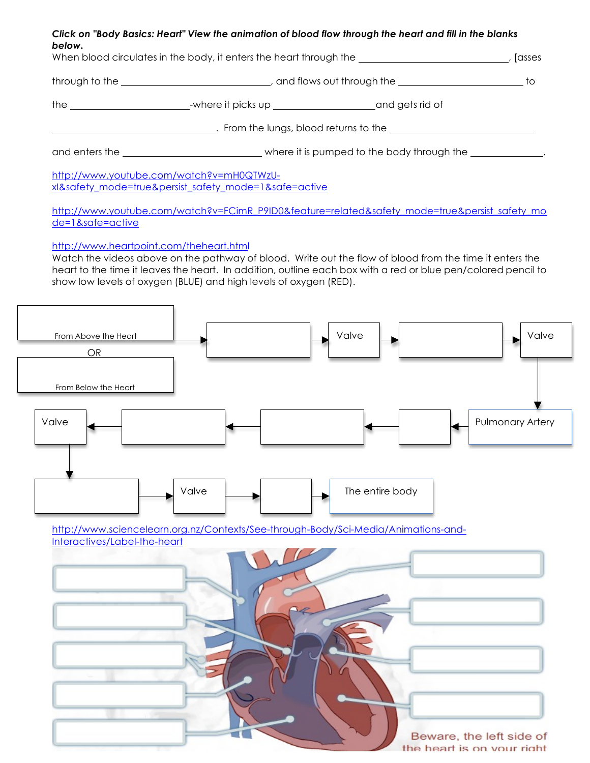### Click on "Body Basics: Heart" View the animation of blood flow through the heart and fill in the blanks *below.*

| When blood circulates in the body, it enters the heart through the _________________________________ |                                                                                                            | , [asses |  |  |
|------------------------------------------------------------------------------------------------------|------------------------------------------------------------------------------------------------------------|----------|--|--|
|                                                                                                      |                                                                                                            |          |  |  |
|                                                                                                      |                                                                                                            |          |  |  |
|                                                                                                      |                                                                                                            |          |  |  |
|                                                                                                      | and enters the ________________________________where it is pumped to the body through the ________________ |          |  |  |
| http://www.youtube.com/watch?v=mH0QTWzU-<br>xl&safety mode=true&persist safety mode=1&safe=active    |                                                                                                            |          |  |  |

http://www.youtube.com/watch?v=FCimR\_P9ID0&feature=related&safety\_mode=true&persist\_safety\_mo de=1&safe=active

http://www.heartpoint.com/theheart.html

Watch the videos above on the pathway of blood. Write out the flow of blood from the time it enters the heart to the time it leaves the heart. In addition, outline each box with a red or blue pen/colored pencil to show low levels of oxygen (BLUE) and high levels of oxygen (RED).

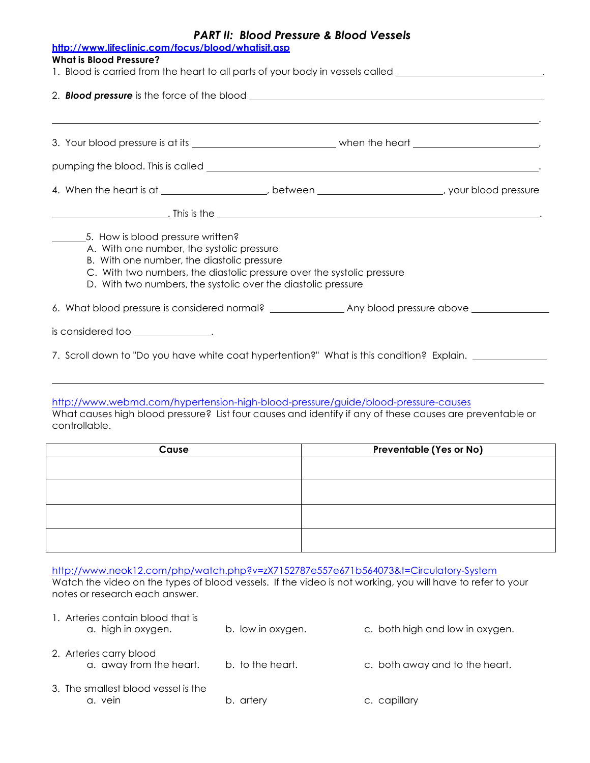| <b>PART II: Blood Pressure &amp; Blood Vessels</b><br>http://www.lifeclinic.com/focus/blood/whatisit.asp<br><b>What is Blood Pressure?</b><br>1. Blood is carried from the heart to all parts of your body in vessels called ___________________________ |                                                                                                                                                                                                                                                                         |  |
|----------------------------------------------------------------------------------------------------------------------------------------------------------------------------------------------------------------------------------------------------------|-------------------------------------------------------------------------------------------------------------------------------------------------------------------------------------------------------------------------------------------------------------------------|--|
|                                                                                                                                                                                                                                                          | 2. <b>Blood pressure</b> is the force of the blood <b>contained and all property of the system</b> and a set of the blood                                                                                                                                               |  |
|                                                                                                                                                                                                                                                          |                                                                                                                                                                                                                                                                         |  |
|                                                                                                                                                                                                                                                          | 4. When the heart is at ___________________, between ____________________, your blood pressure                                                                                                                                                                          |  |
|                                                                                                                                                                                                                                                          | 5. How is blood pressure written?<br>A. With one number, the systolic pressure<br>B. With one number, the diastolic pressure<br>C. With two numbers, the diastolic pressure over the systolic pressure<br>D. With two numbers, the systolic over the diastolic pressure |  |
|                                                                                                                                                                                                                                                          | is considered too ________________.<br>7. Scroll down to "Do you have white coat hypertention?" What is this condition? Explain.                                                                                                                                        |  |

http://www.webmd.com/hypertension-high-blood-pressure/guide/blood-pressure-causes

What causes high blood pressure? List four causes and identify if any of these causes are preventable or controllable.

| Cause | <b>Preventable (Yes or No)</b> |
|-------|--------------------------------|
|       |                                |
|       |                                |
|       |                                |
|       |                                |
|       |                                |
|       |                                |
|       |                                |
|       |                                |

http://www.neok12.com/php/watch.php?v=zX7152787e557e671b564073&t=Circulatory-System

Watch the video on the types of blood vessels. If the video is not working, you will have to refer to your notes or research each answer.

| 1. Arteries contain blood that is<br>a. high in oxygen. | b. low in oxygen. | c. both high and low in oxygen. |
|---------------------------------------------------------|-------------------|---------------------------------|
| 2. Arteries carry blood<br>a. away from the heart.      | b. to the heart.  | c. both away and to the heart.  |
| 3. The smallest blood vessel is the<br>a. vein          | b. artery         | c. capillary                    |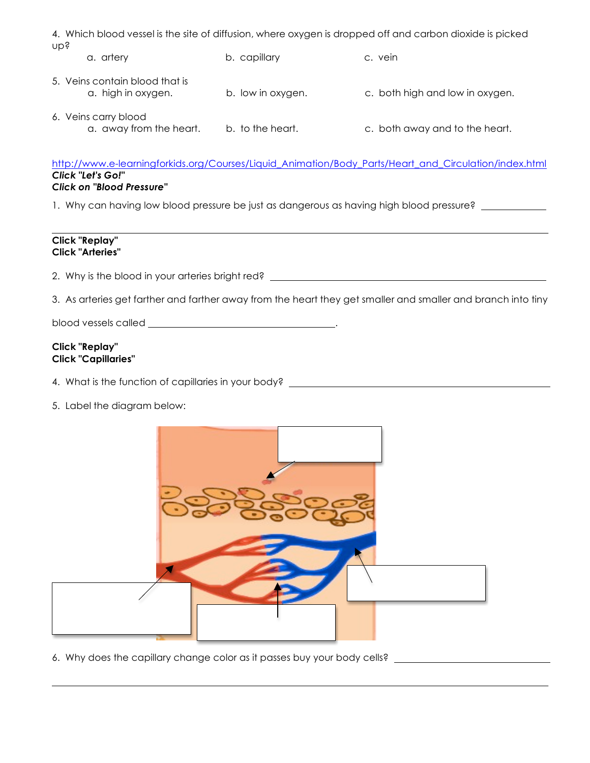4. Which blood vessel is the site of diffusion, where oxygen is dropped off and carbon dioxide is picked up?

a. artery b. capillary c. vein 5. Veins contain blood that is a. high in oxygen. b. low in oxygen. c. both high and low in oxygen. 6. Veins carry blood a. away from the heart. b. to the heart. c. both away and to the heart.

http://www.e-learningforkids.org/Courses/Liquid\_Animation/Body\_Parts/Heart\_and\_Circulation/index.html *Click "Let's Go!" Click on "Blood Pressure"*

1. Why can having low blood pressure be just as dangerous as having high blood pressure?

# **Click "Replay" Click "Arteries"**

2. Why is the blood in your arteries bright red? \_\_\_\_\_\_\_\_\_\_\_\_\_\_\_\_\_\_\_\_\_\_\_\_\_\_\_\_\_\_\_

3. As arteries get farther and farther away from the heart they get smaller and smaller and branch into tiny

blood vessels called .

## **Click "Replay" Click "Capillaries"**

4. What is the function of capillaries in your body? \_\_\_\_\_\_\_\_\_\_\_\_\_\_\_\_\_\_\_\_\_\_\_\_\_\_\_

5. Label the diagram below:



6. Why does the capillary change color as it passes buy your body cells?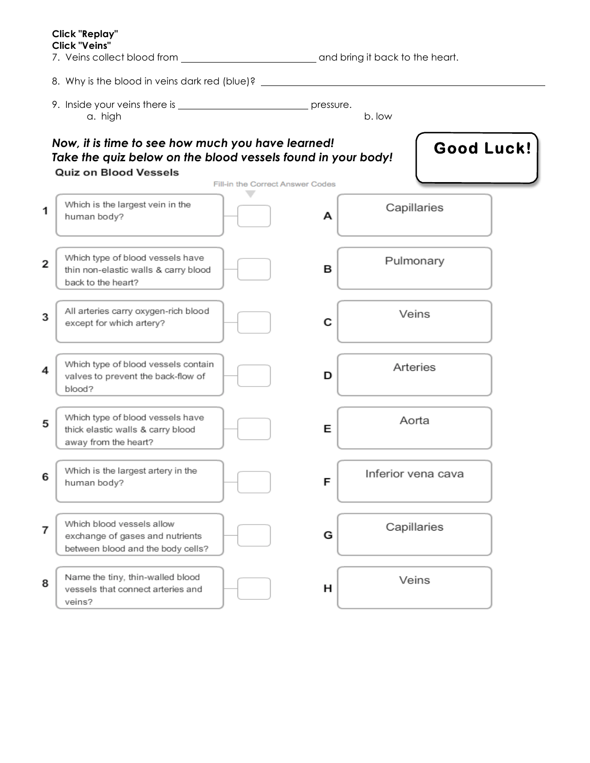|                | Click "Replay"<br><b>Click "Veins"</b>                                                                                                            |                                                       |  |
|----------------|---------------------------------------------------------------------------------------------------------------------------------------------------|-------------------------------------------------------|--|
|                | 8. Why is the blood in veins dark red (blue)? __________________________________                                                                  |                                                       |  |
|                | a. high                                                                                                                                           | b. low                                                |  |
|                | Now, it is time to see how much you have learned!<br>Take the quiz below on the blood vessels found in your body!<br><b>Quiz on Blood Vessels</b> | <b>Good Luck!</b><br>Fill-in the Correct Answer Codes |  |
|                | Which is the largest vein in the<br>human body?                                                                                                   | Capillaries<br>А                                      |  |
| 2              | Which type of blood vessels have<br>thin non-elastic walls & carry blood<br>back to the heart?                                                    | Pulmonary<br>в                                        |  |
| 3              | All arteries carry oxygen-rich blood<br>except for which artery?                                                                                  | Veins<br>С                                            |  |
| 4              | Which type of blood vessels contain<br>valves to prevent the back-flow of<br>blood?                                                               | Arteries<br>D                                         |  |
| 5              | Which type of blood vessels have<br>thick elastic walls & carry blood<br>away from the heart?                                                     | Aorta<br>Е                                            |  |
| 6              | Which is the largest artery in the<br>human body?                                                                                                 | Inferior vena cava<br>F                               |  |
| $\overline{7}$ | Which blood vessels allow<br>exchange of gases and nutrients<br>between blood and the body cells?                                                 | Capillaries<br>G                                      |  |
| 8              | Name the tiny, thin-walled blood<br>vessels that connect arteries and<br>veins?                                                                   | Veins<br>н                                            |  |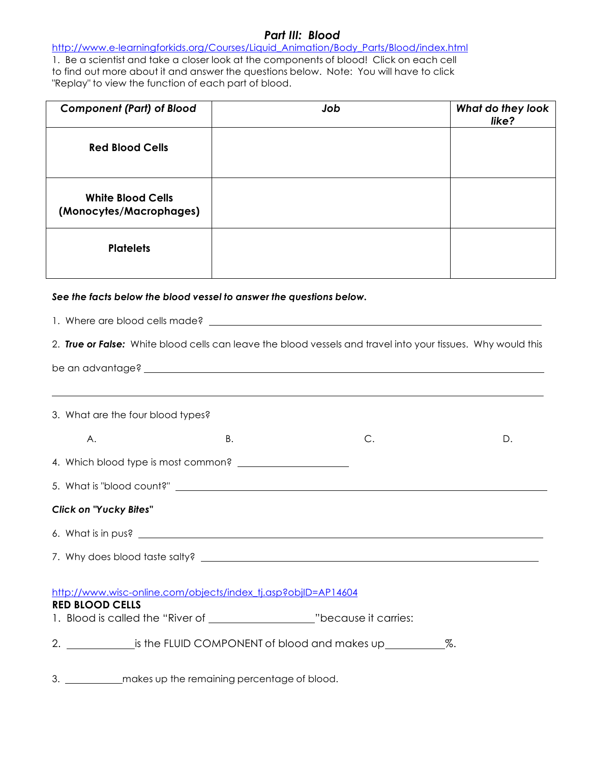# *Part III: Blood*

http://www.e-learningforkids.org/Courses/Liquid\_Animation/Body\_Parts/Blood/index.html 1. Be a scientist and take a closer look at the components of blood! Click on each cell to find out more about it and answer the questions below. Note: You will have to click "Replay" to view the function of each part of blood.

| <b>Component (Part) of Blood</b>                    | Job | What do they look<br>like? |
|-----------------------------------------------------|-----|----------------------------|
| <b>Red Blood Cells</b>                              |     |                            |
| <b>White Blood Cells</b><br>(Monocytes/Macrophages) |     |                            |
| <b>Platelets</b>                                    |     |                            |

# *See the facts below the blood vessel to answer the questions below.*

| 1. Where are blood cells made? example a state of the state of the state of the state of the state of the state of the state of the state of the state of the state of the state of the state of the state of the state of the |                                                                                  |    |  |
|--------------------------------------------------------------------------------------------------------------------------------------------------------------------------------------------------------------------------------|----------------------------------------------------------------------------------|----|--|
| 2. True or False: White blood cells can leave the blood vessels and travel into your tissues. Why would this                                                                                                                   |                                                                                  |    |  |
|                                                                                                                                                                                                                                |                                                                                  |    |  |
|                                                                                                                                                                                                                                | ,我们也不会有什么。""我们的人,我们也不会有什么?""我们的人,我们也不会有什么?""我们的人,我们也不会有什么?""我们的人,我们也不会有什么?""我们的人 |    |  |
| 3. What are the four blood types?                                                                                                                                                                                              |                                                                                  |    |  |
| <b>B.</b><br>Α.                                                                                                                                                                                                                | $\mathsf{C}.$                                                                    | D. |  |
|                                                                                                                                                                                                                                |                                                                                  |    |  |
|                                                                                                                                                                                                                                |                                                                                  |    |  |
| <b>Click on "Yucky Bites"</b>                                                                                                                                                                                                  |                                                                                  |    |  |
|                                                                                                                                                                                                                                |                                                                                  |    |  |
|                                                                                                                                                                                                                                |                                                                                  |    |  |
| http://www.wisc-online.com/objects/index_tj.asp?objID=AP14604<br><b>RED BLOOD CELLS</b><br>1. Blood is called the "River of __________________________"because it carries:                                                     |                                                                                  |    |  |

3. \_\_\_\_\_\_\_\_\_\_\_\_ makes up the remaining percentage of blood.